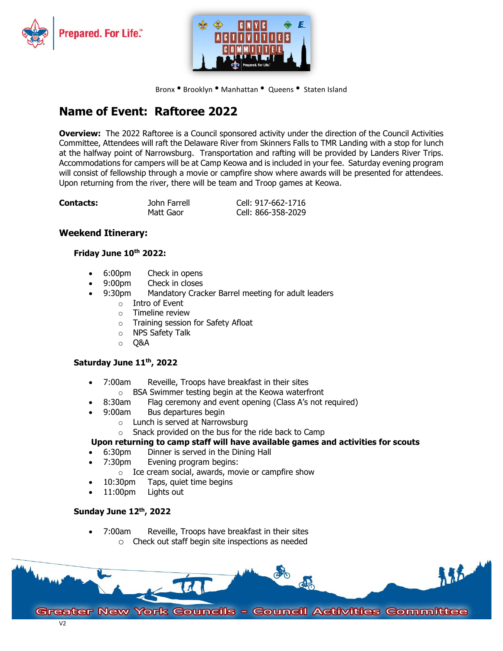



Bronx . Brooklyn . Manhattan . Queens . Staten Island

# **Name of Event: Raftoree 2022**

**Overview:** The 2022 Raftoree is a Council sponsored activity under the direction of the Council Activities Committee, Attendees will raft the Delaware River from Skinners Falls to TMR Landing with a stop for lunch at the halfway point of Narrowsburg. Transportation and rafting will be provided by Landers River Trips. Accommodations for campers will be at Camp Keowa and is included in your fee. Saturday evening program will consist of fellowship through a movie or campfire show where awards will be presented for attendees. Upon returning from the river, there will be team and Troop games at Keowa.

| <b>Contacts:</b> | John Farrell | Cell: 917-662-1716 |
|------------------|--------------|--------------------|
|                  | Matt Gaor    | Cell: 866-358-2029 |

### **Weekend Itinerary:**

#### **Friday June 10th 2022:**

- 6:00pm Check in opens
- 9:00pm Check in closes
- 9:30pm Mandatory Cracker Barrel meeting for adult leaders
	- o Intro of Event
	- o Timeline review
	- o Training session for Safety Afloat<br>
	o NPS Safety Talk
	- NPS Safety Talk
	- o Q&A

#### **Saturday June 11th, 2022**

- 7:00am Reveille, Troops have breakfast in their sites
	- $\circ$  BSA Swimmer testing begin at the Keowa waterfront 8:30am Flag ceremony and event opening (Class A's not i
	- Flag ceremony and event opening (Class A's not required)
- 9:00am Bus departures begin
	- o Lunch is served at Narrowsburg
	- o Snack provided on the bus for the ride back to Camp

#### **Upon returning to camp staff will have available games and activities for scouts**

- 6:30pm Dinner is served in the Dining Hall
- 7:30pm Evening program begins:
	- $\circ$  Ice cream social, awards, movie or campfire show 10:30pm Taps. quiet time begins
- Taps, quiet time begins
- 11:00pm Lights out

#### **Sunday June 12th, 2022**

• 7:00am Reveille, Troops have breakfast in their sites o Check out staff begin site inspections as needed

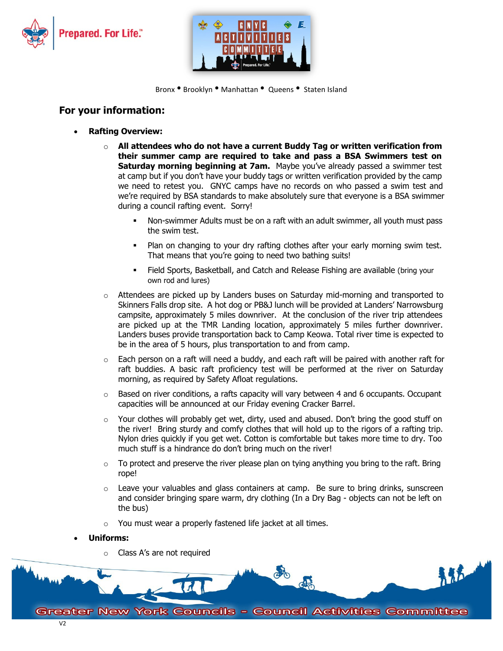



Bronx . Brooklyn . Manhattan . Queens . Staten Island

## **For your information:**

- **Rafting Overview:**
	- o **All attendees who do not have a current Buddy Tag or written verification from their summer camp are required to take and pass a BSA Swimmers test on Saturday morning beginning at 7am.** Maybe you've already passed a swimmer test at camp but if you don't have your buddy tags or written verification provided by the camp we need to retest you. GNYC camps have no records on who passed a swim test and we're required by BSA standards to make absolutely sure that everyone is a BSA swimmer during a council rafting event. Sorry!
		- Non-swimmer Adults must be on a raft with an adult swimmer, all youth must pass the swim test.
		- Plan on changing to your dry rafting clothes after your early morning swim test. That means that you're going to need two bathing suits!
		- Field Sports, Basketball, and Catch and Release Fishing are available (bring your own rod and lures)
	- $\circ$  Attendees are picked up by Landers buses on Saturday mid-morning and transported to Skinners Falls drop site. A hot dog or PB&J lunch will be provided at Landers' Narrowsburg campsite, approximately 5 miles downriver. At the conclusion of the river trip attendees are picked up at the TMR Landing location, approximately 5 miles further downriver. Landers buses provide transportation back to Camp Keowa. Total river time is expected to be in the area of 5 hours, plus transportation to and from camp.
	- $\circ$  Each person on a raft will need a buddy, and each raft will be paired with another raft for raft buddies. A basic raft proficiency test will be performed at the river on Saturday morning, as required by Safety Afloat regulations.
	- $\circ$  Based on river conditions, a rafts capacity will vary between 4 and 6 occupants. Occupant capacities will be announced at our Friday evening Cracker Barrel.
	- o Your clothes will probably get wet, dirty, used and abused. Don't bring the good stuff on the river! Bring sturdy and comfy clothes that will hold up to the rigors of a rafting trip. Nylon dries quickly if you get wet. Cotton is comfortable but takes more time to dry. Too much stuff is a hindrance do don't bring much on the river!
	- $\circ$  To protect and preserve the river please plan on tying anything you bring to the raft. Bring rope!
	- $\circ$  Leave your valuables and glass containers at camp. Be sure to bring drinks, sunscreen and consider bringing spare warm, dry clothing (In a Dry Bag - objects can not be left on the bus)
	- o You must wear a properly fastened life jacket at all times.

#### • **Uniforms:**

o Class A's are not required